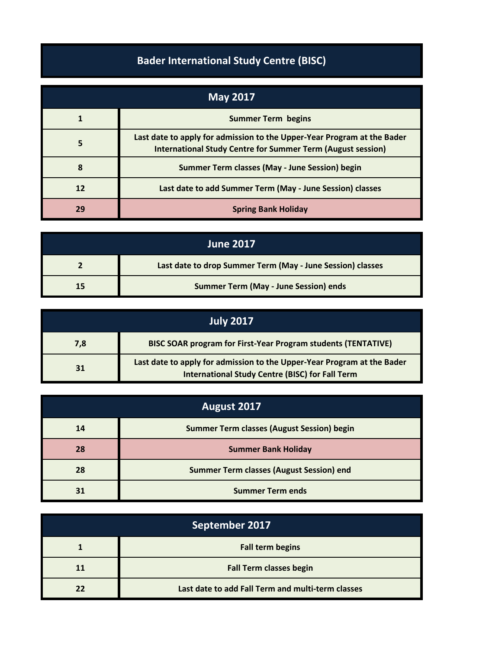## **Bader International Study Centre (BISC)**

| May 2017 |                                                                                                                                               |
|----------|-----------------------------------------------------------------------------------------------------------------------------------------------|
|          | <b>Summer Term begins</b>                                                                                                                     |
|          | Last date to apply for admission to the Upper-Year Program at the Bader<br><b>International Study Centre for Summer Term (August session)</b> |
| Զ        | Summer Term classes (May - June Session) begin                                                                                                |
| 12       | Last date to add Summer Term (May - June Session) classes                                                                                     |
| 29       | <b>Spring Bank Holiday</b>                                                                                                                    |

| <b>June 2017</b> |                                                            |
|------------------|------------------------------------------------------------|
|                  | Last date to drop Summer Term (May - June Session) classes |
| 15               | <b>Summer Term (May - June Session) ends</b>               |

| July 2017 |                                                                                                                                   |
|-----------|-----------------------------------------------------------------------------------------------------------------------------------|
| 7,8       | <b>BISC SOAR program for First-Year Program students (TENTATIVE)</b>                                                              |
| 31        | Last date to apply for admission to the Upper-Year Program at the Bader<br><b>International Study Centre (BISC) for Fall Term</b> |

| August 2017 |                                                   |
|-------------|---------------------------------------------------|
| 14          | <b>Summer Term classes (August Session) begin</b> |
| 28          | <b>Summer Bank Holiday</b>                        |
| 28          | <b>Summer Term classes (August Session) end</b>   |
| 31          | <b>Summer Term ends</b>                           |

| September 2017 |                                                   |
|----------------|---------------------------------------------------|
|                | <b>Fall term begins</b>                           |
| 11             | <b>Fall Term classes begin</b>                    |
| 77             | Last date to add Fall Term and multi-term classes |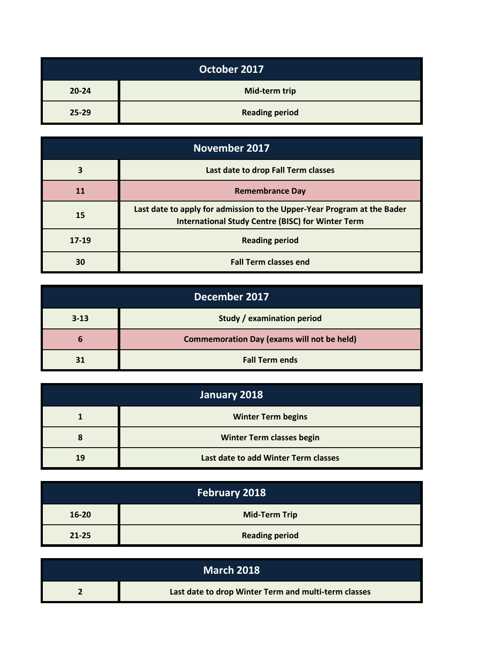| October 2017 |                       |
|--------------|-----------------------|
| $20 - 24$    | Mid-term trip         |
| $25 - 29$    | <b>Reading period</b> |

| <b>November 2017</b> |                                                                                                                                     |
|----------------------|-------------------------------------------------------------------------------------------------------------------------------------|
| 3                    | Last date to drop Fall Term classes                                                                                                 |
| <b>11</b>            | <b>Remembrance Day</b>                                                                                                              |
| 15                   | Last date to apply for admission to the Upper-Year Program at the Bader<br><b>International Study Centre (BISC) for Winter Term</b> |
| $17 - 19$            | <b>Reading period</b>                                                                                                               |
| 30                   | <b>Fall Term classes end</b>                                                                                                        |

| December 2017 |                                                   |
|---------------|---------------------------------------------------|
| $3 - 13$      | Study / examination period                        |
| b             | <b>Commemoration Day (exams will not be held)</b> |
| 31            | <b>Fall Term ends</b>                             |

| January 2018 |                                      |
|--------------|--------------------------------------|
|              | <b>Winter Term begins</b>            |
|              | <b>Winter Term classes begin</b>     |
| 19           | Last date to add Winter Term classes |

| <b>February 2018</b> |                       |
|----------------------|-----------------------|
| $16 - 20$            | <b>Mid-Term Trip</b>  |
| $21 - 25$            | <b>Reading period</b> |

| <b>March 2018</b> |                                                      |
|-------------------|------------------------------------------------------|
|                   | Last date to drop Winter Term and multi-term classes |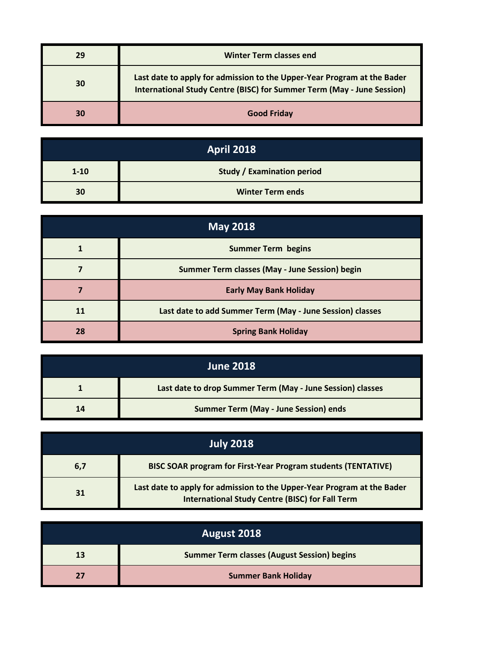| 29 | <b>Winter Term classes end</b>                                                                                                                           |
|----|----------------------------------------------------------------------------------------------------------------------------------------------------------|
| 30 | Last date to apply for admission to the Upper-Year Program at the Bader<br><b>International Study Centre (BISC) for Summer Term (May - June Session)</b> |
| 30 | <b>Good Friday</b>                                                                                                                                       |

| <b>April 2018</b> |                                   |  |
|-------------------|-----------------------------------|--|
| $1 - 10$          | <b>Study / Examination period</b> |  |
| 30                | <b>Winter Term ends</b>           |  |

| <b>May 2018</b> |                                                           |
|-----------------|-----------------------------------------------------------|
|                 | <b>Summer Term begins</b>                                 |
|                 | Summer Term classes (May - June Session) begin            |
|                 | <b>Early May Bank Holiday</b>                             |
| 11              | Last date to add Summer Term (May - June Session) classes |
| 28              | <b>Spring Bank Holiday</b>                                |

| <b>June 2018</b> |                                                            |
|------------------|------------------------------------------------------------|
|                  | Last date to drop Summer Term (May - June Session) classes |
| 14               | <b>Summer Term (May - June Session) ends</b>               |

| <b>July 2018</b> |                                                                                                                                   |  |
|------------------|-----------------------------------------------------------------------------------------------------------------------------------|--|
| 6,7              | <b>BISC SOAR program for First-Year Program students (TENTATIVE)</b>                                                              |  |
| 31               | Last date to apply for admission to the Upper-Year Program at the Bader<br><b>International Study Centre (BISC) for Fall Term</b> |  |

| August 2018 |                                                    |
|-------------|----------------------------------------------------|
| 13          | <b>Summer Term classes (August Session) begins</b> |
|             | <b>Summer Bank Holiday</b>                         |